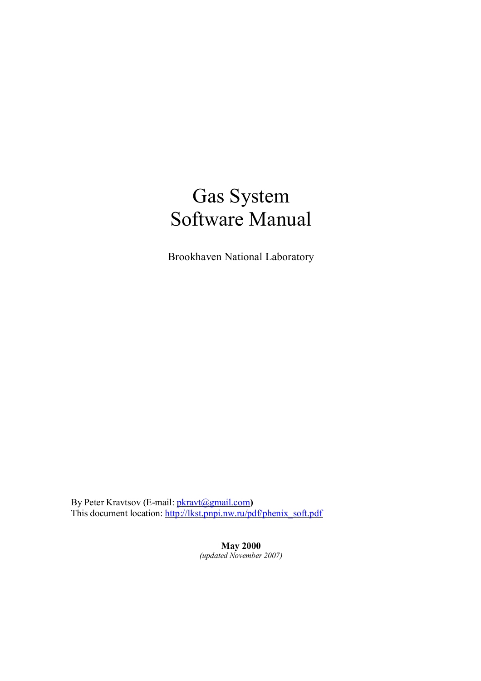# Gas System Software Manual

Brookhaven National Laboratory

By Peter Kravtsov (E-mail: [pkravt@gmail.com](mailto:pkravt@gmail.com)**)**  This document location: [http://lkst.pnpi.nw.ru/pdf/phenix\\_soft.pdf](http://lkst.pnpi.nw.ru/pdf/phenix_soft.pdf)

> **May 2000**  *(updated November 2007)*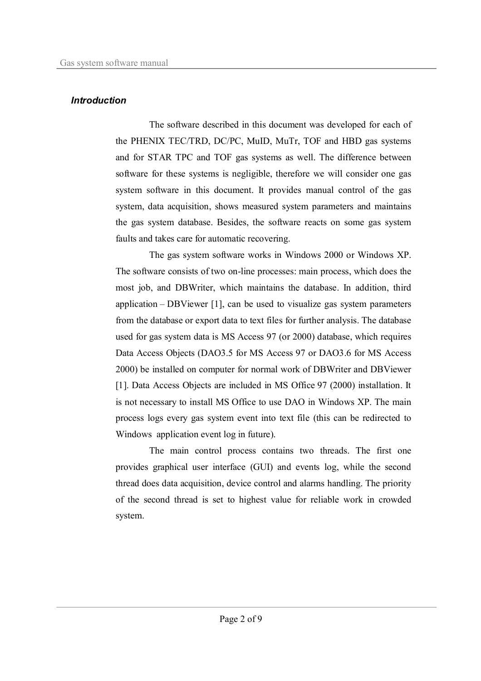## *Introduction*

The software described in this document was developed for each of the PHENIX TEC/TRD, DC/PC, MuID, MuTr, TOF and HBD gas systems and for STAR TPC and TOF gas systems as well. The difference between software for these systems is negligible, therefore we will consider one gas system software in this document. It provides manual control of the gas system, data acquisition, shows measured system parameters and maintains the gas system database. Besides, the software reacts on some gas system faults and takes care for automatic recovering.

The gas system software works in Windows 2000 or Windows XP. The software consists of two on-line processes: main process, which does the most job, and DBWriter, which maintains the database. In addition, third application – DBViewer [1], can be used to visualize gas system parameters from the database or export data to text files for further analysis. The database used for gas system data is MS Access 97 (or 2000) database, which requires Data Access Objects (DAO3.5 for MS Access 97 or DAO3.6 for MS Access 2000) be installed on computer for normal work of DBWriter and DBViewer [1]. Data Access Objects are included in MS Office 97 (2000) installation. It is not necessary to install MS Office to use DAO in Windows XP. The main process logs every gas system event into text file (this can be redirected to Windows application event log in future).

The main control process contains two threads. The first one provides graphical user interface (GUI) and events log, while the second thread does data acquisition, device control and alarms handling. The priority of the second thread is set to highest value for reliable work in crowded system.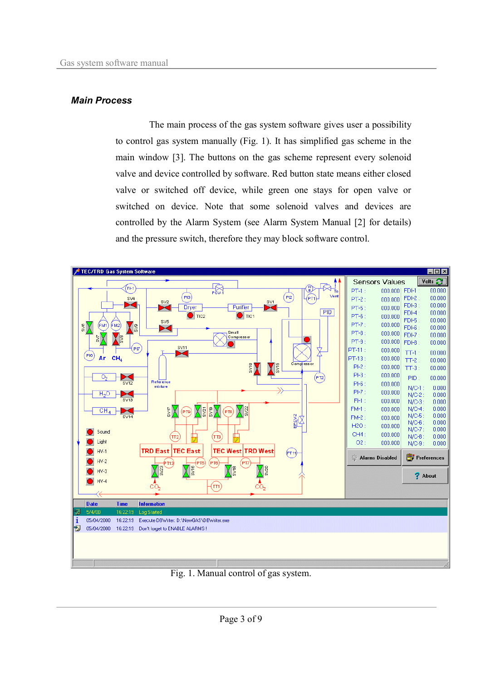#### *Main Process*

The main process of the gas system software gives user a possibility to control gas system manually (Fig. 1). It has simplified gas scheme in the main window [3]. The buttons on the gas scheme represent every solenoid valve and device controlled by software. Red button state means either closed valve or switched off device, while green one stays for open valve or switched on device. Note that some solenoid valves and devices are controlled by the Alarm System (see Alarm System Manual [2] for details) and the pressure switch, therefore they may block software control.



Fig. 1. Manual control of gas system.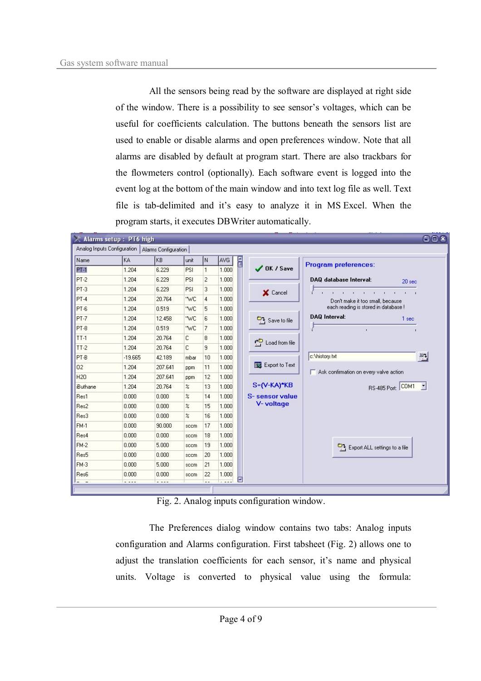All the sensors being read by the software are displayed at right side of the window. There is a possibility to see sensor's voltages, which can be useful for coefficients calculation. The buttons beneath the sensors list are used to enable or disable alarms and open preferences window. Note that all alarms are disabled by default at program start. There are also trackbars for the flowmeters control (optionally). Each software event is logged into the event log at the bottom of the main window and into text log file as well. Text file is tab-delimited and it's easy to analyze it in MS Excel. When the program starts, it executes DBWriter automatically.

|                 | $\times$ Alarms setup : PT6 high                   |             |                            |                |             |   |                      |                                                                                                                                                                                                                                                                        | ○回图 |
|-----------------|----------------------------------------------------|-------------|----------------------------|----------------|-------------|---|----------------------|------------------------------------------------------------------------------------------------------------------------------------------------------------------------------------------------------------------------------------------------------------------------|-----|
|                 | Analog Inputs Configuration   Alarms Configuration |             |                            |                |             |   |                      |                                                                                                                                                                                                                                                                        |     |
| Name            | KA.                                                | KB          | unit                       | İΝ             | AVG         | E |                      | <b>Program preferences:</b>                                                                                                                                                                                                                                            |     |
| $PT-1$          | 1.204                                              | 6.229       | PSI                        | $\mathbf{1}$   | 1.000       |   | $\bigvee$ OK / Save  |                                                                                                                                                                                                                                                                        |     |
| $PT-2$          | 1.204                                              | 6.229       | PSI                        | $\overline{c}$ | 1.000       |   |                      | DAQ database Interval:<br>20 <sub>sec</sub>                                                                                                                                                                                                                            |     |
| $PT-3$          | 1.204                                              | 6.229       | PSI                        | 3              | 1.000       |   | X Cancel             | and the material and the con-<br>Don't make it too small, because<br>each reading is stored in database !<br><b>DAQ Interval:</b><br>1 sec<br>$\mathbf{r}$<br>$\mathbf{I}$<br>c: \history.txt<br>크<br>Ask confirmation on every valve action<br>RS-485 Port: COM1<br>E |     |
| $PT-4$          | 1.204                                              | 20.764      | "WC                        | $\overline{4}$ | 1.000       |   |                      |                                                                                                                                                                                                                                                                        |     |
| $PT-6$          | 1.204                                              | 0.519       | "WC                        | 5              | 1.000       |   |                      |                                                                                                                                                                                                                                                                        |     |
| $PT-7$          | 1.204                                              | 12.458      | "WC                        | 6              | 1.000       |   | Save to file         |                                                                                                                                                                                                                                                                        |     |
| PT-8            | 1.204                                              | 0.519       | "WC                        | $\overline{7}$ | 1.000       |   |                      |                                                                                                                                                                                                                                                                        |     |
| $TT-1$          | 1.204                                              | 20.764      | C                          | 8              | 1.000       |   | цò<br>Load from file |                                                                                                                                                                                                                                                                        |     |
| $TT-2$          | 1.204                                              | 20.764      | C                          | 9              | 1.000       |   |                      |                                                                                                                                                                                                                                                                        |     |
| PT-B            | $-19.665$                                          | 42.189      | mbar                       | 10             | 1.000       |   |                      |                                                                                                                                                                                                                                                                        |     |
| 02              | 1.204                                              | 207.641     | ppm                        | 11             | 1.000       |   | Export to Text       |                                                                                                                                                                                                                                                                        |     |
| <b>H20</b>      | 1.204                                              | 207.641     | ppm                        | 12             | 1.000       |   |                      |                                                                                                                                                                                                                                                                        |     |
| <b>iButhane</b> | 1.204                                              | 20.764      | $\%$                       | 13             | 1.000       |   | $S = (V-KA)*KB$      |                                                                                                                                                                                                                                                                        |     |
| Res1            | 0.000                                              | 0.000       | $\%$                       | 14             | 1.000       |   | S-sensor value       |                                                                                                                                                                                                                                                                        |     |
| Res2            | 0.000                                              | 0.000       | $\boldsymbol{\mathcal{Z}}$ | 15             | 1.000       |   | V-voltage            |                                                                                                                                                                                                                                                                        |     |
| Res3            | 0.000                                              | 0.000       | $\%$                       | 16             | 1.000       |   |                      | Export ALL settings to a file                                                                                                                                                                                                                                          |     |
| $FM-1$          | 0.000                                              | 90.000      | sccm                       | 17             | 1.000       |   |                      |                                                                                                                                                                                                                                                                        |     |
| Res4            | 0.000                                              | 0.000       | sccm                       | 18             | 1.000       |   |                      |                                                                                                                                                                                                                                                                        |     |
| $FM-2$          | 0.000                                              | 5.000       | sccm                       | 19             | 1.000       |   |                      |                                                                                                                                                                                                                                                                        |     |
| Res5            | 0.000                                              | 0.000       | sccm                       | 20             | 1.000       |   |                      |                                                                                                                                                                                                                                                                        |     |
| $FM-3$          | 0.000                                              | 5.000       | sccm                       | 21             | 1.000       |   |                      |                                                                                                                                                                                                                                                                        |     |
| Res6            | 0.000                                              | 0.000       | sccm                       | 22             | 1.000       |   |                      |                                                                                                                                                                                                                                                                        |     |
|                 | $2.77 - 2.7$                                       | $- - - - -$ |                            | $-$            | $1.7 - 1.7$ | Ξ |                      |                                                                                                                                                                                                                                                                        |     |

Fig. 2. Analog inputs configuration window.

The Preferences dialog window contains two tabs: Analog inputs configuration and Alarms configuration. First tabsheet (Fig. 2) allows one to adjust the translation coefficients for each sensor, it's name and physical units. Voltage is converted to physical value using the formula: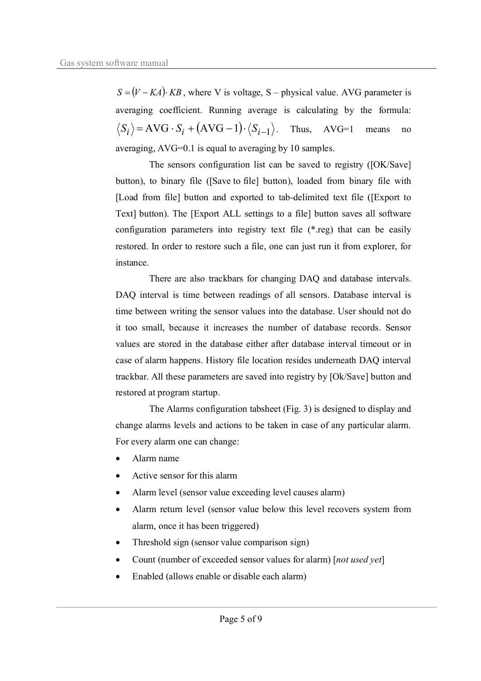$S = (V - KA) \cdot KB$ , where V is voltage, S – physical value. AVG parameter is averaging coefficient. Running average is calculating by the formula:  $\langle S_i \rangle$  = AVG ·  $S_i$  + (AVG - 1) ·  $\langle S_{i-1} \rangle$ . Thus, AVG=1 means no averaging, AVG=0.1 is equal to averaging by 10 samples.

The sensors configuration list can be saved to registry ([OK/Save] button), to binary file ([Save to file] button), loaded from binary file with [Load from file] button and exported to tab-delimited text file ([Export to Text] button). The [Export ALL settings to a file] button saves all software configuration parameters into registry text file (\*.reg) that can be easily restored. In order to restore such a file, one can just run it from explorer, for instance.

There are also trackbars for changing DAQ and database intervals. DAQ interval is time between readings of all sensors. Database interval is time between writing the sensor values into the database. User should not do it too small, because it increases the number of database records. Sensor values are stored in the database either after database interval timeout or in case of alarm happens. History file location resides underneath DAQ interval trackbar. All these parameters are saved into registry by [Ok/Save] button and restored at program startup.

The Alarms configuration tabsheet (Fig. 3) is designed to display and change alarms levels and actions to be taken in case of any particular alarm. For every alarm one can change:

- · Alarm name
- Active sensor for this alarm
- Alarm level (sensor value exceeding level causes alarm)
- Alarm return level (sensor value below this level recovers system from alarm, once it has been triggered)
- Threshold sign (sensor value comparison sign)
- · Count (number of exceeded sensor values for alarm) [*not used yet*]
- Enabled (allows enable or disable each alarm)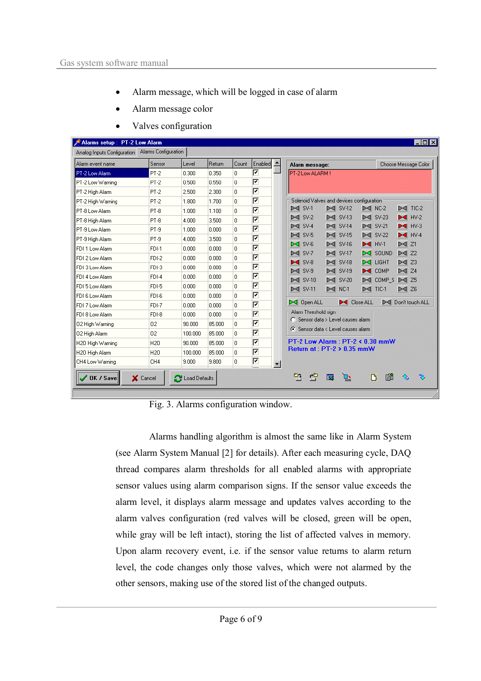- Alarm message, which will be logged in case of alarm
- · Alarm message color

| Alarm event name  | Sensor          | Level   | Return | Count    | Enabled -           | Choose Message Color<br>Alarm message:                                                                                                                                                                                                        |
|-------------------|-----------------|---------|--------|----------|---------------------|-----------------------------------------------------------------------------------------------------------------------------------------------------------------------------------------------------------------------------------------------|
| PT-2 Low Alarm    | PT-2            | 0.300   | 0.350  | 0.       | ⊽                   | <b>PT-2 Low ALARM!</b>                                                                                                                                                                                                                        |
| PT-2 Low Warning  | $PT-2$          | 0.500   | 0.550  | 0.       | ⊽                   |                                                                                                                                                                                                                                               |
| PT-2 High Alarm   | $PT-2$          | 2.500   | 2.300  | n.       | ⊽                   |                                                                                                                                                                                                                                               |
| PT-2 High Warning | $PT-2$          | 1.800   | 1.700  | 0.       | ⊽                   | Solenoid Valves and devices configuration                                                                                                                                                                                                     |
| PT-8 Low Alarm    | PT-8            | 1.000   | 1.100  | $\Omega$ | ⊽                   | $\blacktriangleright$ $\triangleleft$ SV-1<br>$\triangleright$ $\triangleleft$ SV-12<br>$\triangleright$ TIC-2<br>$\blacktriangleright$ $\triangleleft$ NC-2                                                                                  |
| PT-8 High Alarm   | PT-8            | 4.000   | 3.500  | 0        | ⊽                   | $\triangleright$ $\triangleleft$ SV-2<br>$\blacktriangleright$ $\triangleleft$ SV-13<br>$\triangleright$ SV-23<br>$HV-2$                                                                                                                      |
| PT-9 Low Alarm    | PT-9            | 1.000   | 0.000  | 0        | ⊽                   | $H = HV-3$<br>$\triangleright$ $\triangleleft$ SV-4<br>$\blacktriangleright$ $\triangleleft$ SV-14<br>$\triangleright$ SV-21                                                                                                                  |
| PT-9 High Alarm   | PT-9            | 4.000   | 3.500  | 0.       | ⊽                   | $\blacktriangleright$ $\blacktriangleleft$ SV-5<br>HVA<br>$\blacktriangleright$ $\triangleleft$ SV-15<br>$\triangleright$ SV-22                                                                                                               |
| FDI 1 Low Alarm   | FDI-1           | 0.000   | 0.000  | 0.       | ⊽                   | $\mathbb{M}$ Z1<br>$\bowtie$ SV-6<br>$\blacktriangleright$ $\triangleleft$ SV-16<br>HVI                                                                                                                                                       |
| FDI 2 Low Alarm   | FDI-2           | 0.000   | 0.000  | 0.       | ⊽                   | $\triangleright$ SV-7<br>$\mathbb{M}$ SV-17<br>$\triangleright$ 4 22<br>$\bowtie$ SOUND                                                                                                                                                       |
| FDI 3 Low Alarm   | FDI-3           | 0.000   | 0.000  | 0.       | ⊽                   | $\blacktriangleright$ 4 SV-8<br>$\blacktriangleright$ $\triangleleft$ SV-18<br>$\bowtie$ LIGHT<br>$\triangleright$ 4 $\triangleright$ 23                                                                                                      |
| FDI 4 Low Alarm   | FDI-4           | 0.000   | 0.000  | 0.       | ⊽                   | $\blacktriangleright$ $\triangleleft$ SV-9<br>$\triangleright$ $\triangleleft$ $\triangleright$ $\triangleleft$<br>$\blacktriangleright$ $\triangleleft$ SV-19<br>$\blacktriangleright$ COMP                                                  |
| FDI 5 Low Alarm   | FDI-5           | 0.000   | 0.000  | 0.       | ⊽                   | $\blacktriangleright$ SV-10<br>$\blacktriangleright$ $\triangleleft$ SV-20<br>DI COMP S<br>$\triangleright$ 4 25<br>$\blacktriangleright$ TIC-1<br>$\blacktriangleright$ SV-11<br>$\mathbb{M}$ NC-1<br>$\triangleright$ 4 $\triangleright$ 26 |
| FDI 6 Low Alarm   | FDI-6           | 0.000   | 0.000  | n.       | ⊽                   |                                                                                                                                                                                                                                               |
| FDI 7 Low Alarm   | FDI-7           | 0.000   | 0.000  | $\Omega$ | ⊽                   | ▷ Open ALL<br><b>D-4</b> Close ALL<br>Del Don't touch ALL                                                                                                                                                                                     |
| FDI 8 Low Alarm   | FDI-8           | 0.000   | 0.000  | 0.       | ⊽                   | Alarm Threshold sign                                                                                                                                                                                                                          |
| 02 High Warning   | 02              | 90.000  | 85,000 | 0.       | ⊽                   | C Sensor data > Level causes alarm                                                                                                                                                                                                            |
| 02 High Alarm     | 02              | 100,000 | 85,000 | 0.       | ⊽                   | ← Sensor data < Level causes alarm                                                                                                                                                                                                            |
| H20 High Warning  | <b>H2O</b>      | 90.000  | 85,000 | 0.       | ⊽                   | PT-2 Low Alarm: PT-2 < 0.30 mmW                                                                                                                                                                                                               |
| H20 High Alarm    | H <sub>20</sub> | 100,000 | 85,000 | 0.       | ⊽                   | Return at: PT-2 > 0.35 mmW                                                                                                                                                                                                                    |
| CH4 Low Warning   | CH4             | 9.000   | 9.800  | 0.       | ⊽<br>$\blacksquare$ |                                                                                                                                                                                                                                               |

· Valves configuration

Fig. 3. Alarms configuration window.

Alarms handling algorithm is almost the same like in Alarm System (see Alarm System Manual [2] for details). After each measuring cycle, DAQ thread compares alarm thresholds for all enabled alarms with appropriate sensor values using alarm comparison signs. If the sensor value exceeds the alarm level, it displays alarm message and updates valves according to the alarm valves configuration (red valves will be closed, green will be open, while gray will be left intact), storing the list of affected valves in memory. Upon alarm recovery event, i.e. if the sensor value returns to alarm return level, the code changes only those valves, which were not alarmed by the other sensors, making use of the stored list of the changed outputs.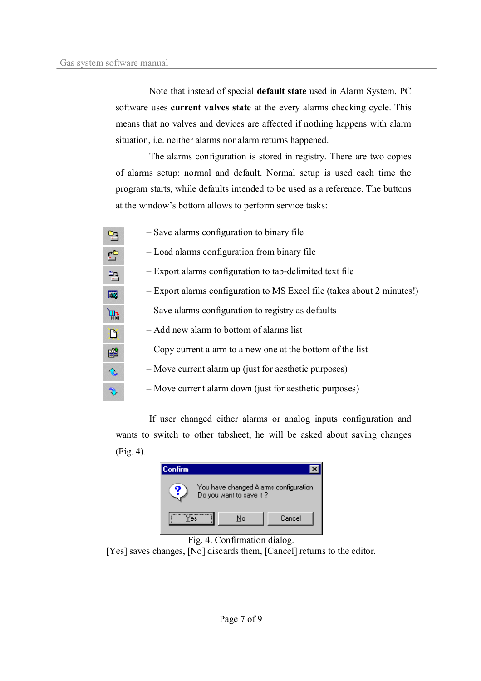Note that instead of special **default state** used in Alarm System, PC software uses **current valves state** at the every alarms checking cycle. This means that no valves and devices are affected if nothing happens with alarm situation, i.e. neither alarms nor alarm returns happened.

The alarms configuration is stored in registry. There are two copies of alarms setup: normal and default. Normal setup is used each time the program starts, while defaults intended to be used as a reference. The buttons at the window's bottom allows to perform service tasks:

| Þ            | - Save alarms configuration to binary file                              |
|--------------|-------------------------------------------------------------------------|
| 曾            | - Load alarms configuration from binary file                            |
| 훨            | - Export alarms configuration to tab-delimited text file                |
| 國            | - Export alarms configuration to MS Excel file (takes about 2 minutes!) |
| $\mathbb{E}$ | - Save alarms configuration to registry as defaults                     |
| D            | - Add new alarm to bottom of alarms list                                |
| 窜            | - Copy current alarm to a new one at the bottom of the list             |
| €            | - Move current alarm up (just for aesthetic purposes)                   |
| Э            | - Move current alarm down (just for aesthetic purposes)                 |

If user changed either alarms or analog inputs configuration and wants to switch to other tabsheet, he will be asked about saving changes (Fig. 4).





[Yes] saves changes, [No] discards them, [Cancel] returns to the editor.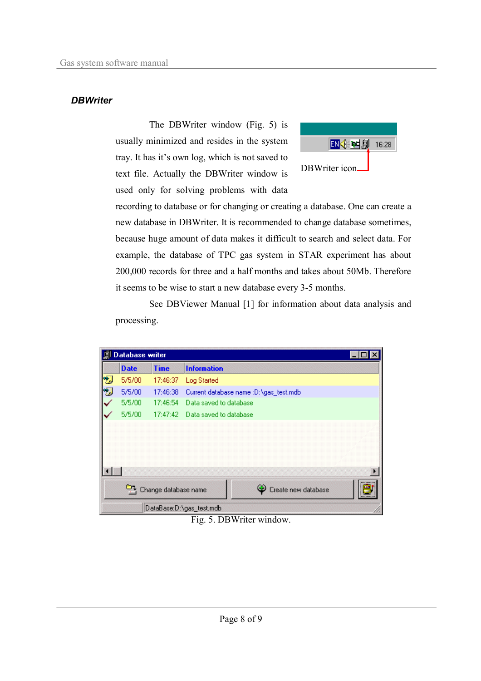## *DBWriter*

The DBWriter window (Fig. 5) is usually minimized and resides in the system tray. It has it's own log, which is not saved to text file. Actually the DBWriter window is used only for solving problems with data



recording to database or for changing or creating a database. One can create a new database in DBWriter. It is recommended to change database sometimes, because huge amount of data makes it difficult to search and select data. For example, the database of TPC gas system in STAR experiment has about 200,000 records for three and a half months and takes about 50Mb. Therefore it seems to be wise to start a new database every 3-5 months.

See DBViewer Manual [1] for information about data analysis and processing.



Fig. 5. DBWriter window.